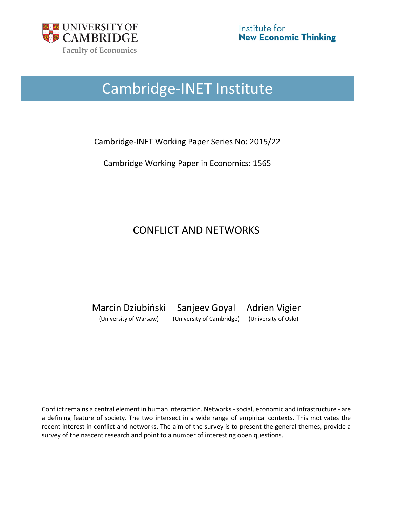

# Cambridge-INET Institute

Cambridge-INET Working Paper Series No: 2015/22

Cambridge Working Paper in Economics: 1565

## CONFLICT AND NETWORKS

Marcin Dziubiński Sanjeev Goyal Adrien Vigier (University of Warsaw) (University of Cambridge) (University of Oslo)

Conflict remains a central element in human interaction. Networks - social, economic and infrastructure - are a defining feature of society. The two intersect in a wide range of empirical contexts. This motivates the recent interest in conflict and networks. The aim of the survey is to present the general themes, provide a survey of the nascent research and point to a number of interesting open questions.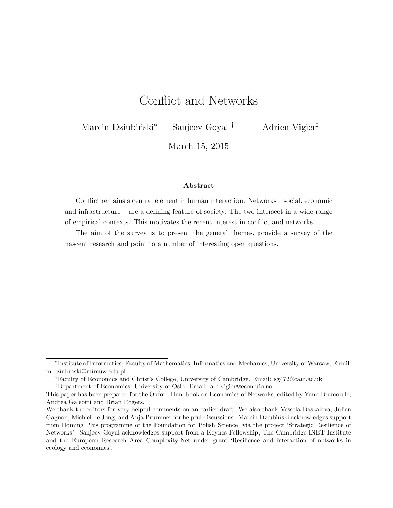## Conflict and Networks

Marcin Dziubiński<sup>∗</sup> Sanjeev Goyal <sup>†</sup> Adrien Vigier<sup>‡</sup>

March 15, 2015

#### Abstract

Conflict remains a central element in human interaction. Networks – social, economic and infrastructure – are a defining feature of society. The two intersect in a wide range of empirical contexts. This motivates the recent interest in conflict and networks.

The aim of the survey is to present the general themes, provide a survey of the nascent research and point to a number of interesting open questions.

‡Department of Economics, University of Oslo. Email: a.h.vigier@econ.uio.no

<sup>∗</sup> Institute of Informatics, Faculty of Mathematics, Informatics and Mechanics, University of Warsaw, Email: m.dziubinski@mimuw.edu.pl

<sup>†</sup>Faculty of Economics and Christ's College, University of Cambridge. Email: sg472@cam.ac.uk

This paper has been prepared for the Oxford Handbook on Economics of Networks, edited by Yann Bramoulle, Andrea Galeotti and Brian Rogers.

We thank the editors for very helpful comments on an earlier draft. We also thank Vessela Daskalova, Julien Gagnon, Michiel de Jong, and Anja Prummer for helpful discussions. Marcin Dziubiński acknowledges support from Homing Plus programme of the Foundation for Polish Science, via the project 'Strategic Resilience of Networks'. Sanjeev Goyal acknowledges support from a Keynes Fellowship, The Cambridge-INET Institute and the European Research Area Complexity-Net under grant 'Resilience and interaction of networks in ecology and economics'.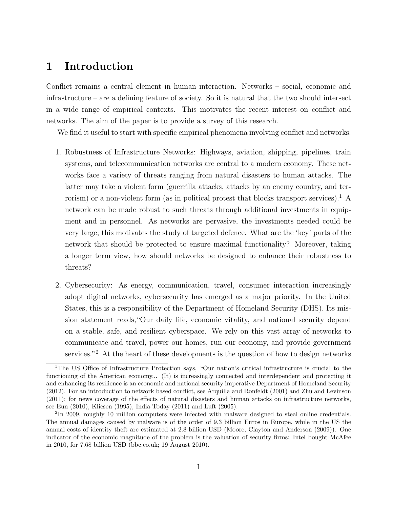## 1 Introduction

Conflict remains a central element in human interaction. Networks – social, economic and infrastructure – are a defining feature of society. So it is natural that the two should intersect in a wide range of empirical contexts. This motivates the recent interest on conflict and networks. The aim of the paper is to provide a survey of this research.

We find it useful to start with specific empirical phenomena involving conflict and networks.

- 1. Robustness of Infrastructure Networks: Highways, aviation, shipping, pipelines, train systems, and telecommunication networks are central to a modern economy. These networks face a variety of threats ranging from natural disasters to human attacks. The latter may take a violent form (guerrilla attacks, attacks by an enemy country, and terrorism) or a non-violent form (as in political protest that blocks transport services).<sup>1</sup> A network can be made robust to such threats through additional investments in equipment and in personnel. As networks are pervasive, the investments needed could be very large; this motivates the study of targeted defence. What are the 'key' parts of the network that should be protected to ensure maximal functionality? Moreover, taking a longer term view, how should networks be designed to enhance their robustness to threats?
- 2. Cybersecurity: As energy, communication, travel, consumer interaction increasingly adopt digital networks, cybersecurity has emerged as a major priority. In the United States, this is a responsibility of the Department of Homeland Security (DHS). Its mission statement reads,"Our daily life, economic vitality, and national security depend on a stable, safe, and resilient cyberspace. We rely on this vast array of networks to communicate and travel, power our homes, run our economy, and provide government services."<sup>2</sup> At the heart of these developments is the question of how to design networks

<sup>1</sup>The US Office of Infrastructure Protection says, "Our nation's critical infrastructure is crucial to the functioning of the American economy... (It) is increasingly connected and interdependent and protecting it and enhancing its resilience is an economic and national security imperative Department of Homeland Security (2012). For an introduction to network based conflict, see Arquilla and Ronfeldt (2001) and Zhu and Levinson (2011); for news coverage of the effects of natural disasters and human attacks on infrastructure networks, see Eun (2010), Kliesen (1995), India Today (2011) and Luft (2005).

<sup>&</sup>lt;sup>2</sup>In 2009, roughly 10 million computers were infected with malware designed to steal online credentials. The annual damages caused by malware is of the order of 9.3 billion Euros in Europe, while in the US the annual costs of identity theft are estimated at 2.8 billion USD (Moore, Clayton and Anderson (2009)). One indicator of the economic magnitude of the problem is the valuation of security firms: Intel bought McAfee in 2010, for 7.68 billion USD (bbc.co.uk; 19 August 2010).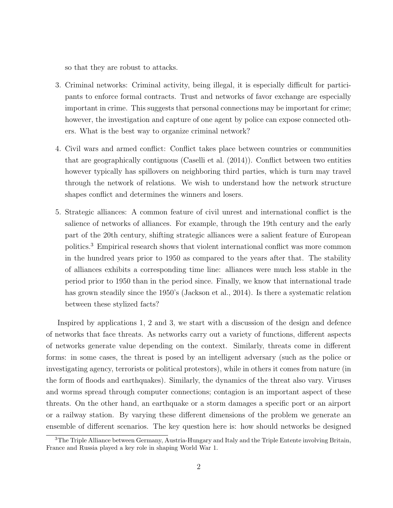so that they are robust to attacks.

- 3. Criminal networks: Criminal activity, being illegal, it is especially difficult for participants to enforce formal contracts. Trust and networks of favor exchange are especially important in crime. This suggests that personal connections may be important for crime; however, the investigation and capture of one agent by police can expose connected others. What is the best way to organize criminal network?
- 4. Civil wars and armed conflict: Conflict takes place between countries or communities that are geographically contiguous (Caselli et al. (2014)). Conflict between two entities however typically has spillovers on neighboring third parties, which is turn may travel through the network of relations. We wish to understand how the network structure shapes conflict and determines the winners and losers.
- 5. Strategic alliances: A common feature of civil unrest and international conflict is the salience of networks of alliances. For example, through the 19th century and the early part of the 20th century, shifting strategic alliances were a salient feature of European politics.<sup>3</sup> Empirical research shows that violent international conflict was more common in the hundred years prior to 1950 as compared to the years after that. The stability of alliances exhibits a corresponding time line: alliances were much less stable in the period prior to 1950 than in the period since. Finally, we know that international trade has grown steadily since the 1950's (Jackson et al., 2014). Is there a systematic relation between these stylized facts?

Inspired by applications 1, 2 and 3, we start with a discussion of the design and defence of networks that face threats. As networks carry out a variety of functions, different aspects of networks generate value depending on the context. Similarly, threats come in different forms: in some cases, the threat is posed by an intelligent adversary (such as the police or investigating agency, terrorists or political protestors), while in others it comes from nature (in the form of floods and earthquakes). Similarly, the dynamics of the threat also vary. Viruses and worms spread through computer connections; contagion is an important aspect of these threats. On the other hand, an earthquake or a storm damages a specific port or an airport or a railway station. By varying these different dimensions of the problem we generate an ensemble of different scenarios. The key question here is: how should networks be designed

<sup>3</sup>The Triple Alliance between Germany, Austria-Hungary and Italy and the Triple Entente involving Britain, France and Russia played a key role in shaping World War 1.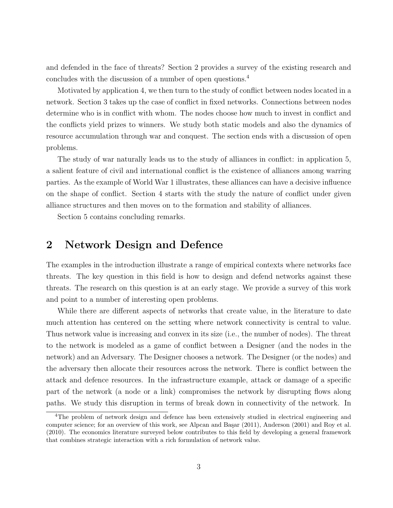and defended in the face of threats? Section 2 provides a survey of the existing research and concludes with the discussion of a number of open questions.<sup>4</sup>

Motivated by application 4, we then turn to the study of conflict between nodes located in a network. Section 3 takes up the case of conflict in fixed networks. Connections between nodes determine who is in conflict with whom. The nodes choose how much to invest in conflict and the conflicts yield prizes to winners. We study both static models and also the dynamics of resource accumulation through war and conquest. The section ends with a discussion of open problems.

The study of war naturally leads us to the study of alliances in conflict: in application 5, a salient feature of civil and international conflict is the existence of alliances among warring parties. As the example of World War 1 illustrates, these alliances can have a decisive influence on the shape of conflict. Section 4 starts with the study the nature of conflict under given alliance structures and then moves on to the formation and stability of alliances.

Section 5 contains concluding remarks.

## 2 Network Design and Defence

The examples in the introduction illustrate a range of empirical contexts where networks face threats. The key question in this field is how to design and defend networks against these threats. The research on this question is at an early stage. We provide a survey of this work and point to a number of interesting open problems.

While there are different aspects of networks that create value, in the literature to date much attention has centered on the setting where network connectivity is central to value. Thus network value is increasing and convex in its size (i.e., the number of nodes). The threat to the network is modeled as a game of conflict between a Designer (and the nodes in the network) and an Adversary. The Designer chooses a network. The Designer (or the nodes) and the adversary then allocate their resources across the network. There is conflict between the attack and defence resources. In the infrastructure example, attack or damage of a specific part of the network (a node or a link) compromises the network by disrupting flows along paths. We study this disruption in terms of break down in connectivity of the network. In

<sup>&</sup>lt;sup>4</sup>The problem of network design and defence has been extensively studied in electrical engineering and computer science; for an overview of this work, see Alpcan and Başar (2011), Anderson (2001) and Roy et al. (2010). The economics literature surveyed below contributes to this field by developing a general framework that combines strategic interaction with a rich formulation of network value.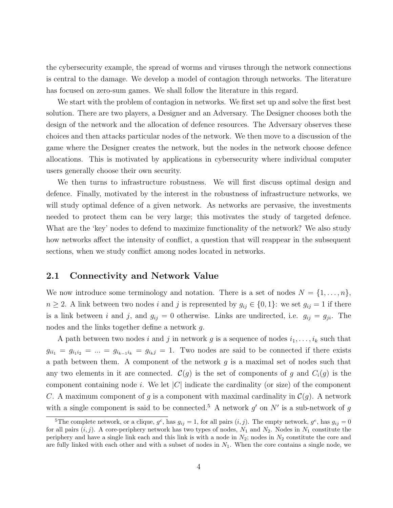the cybersecurity example, the spread of worms and viruses through the network connections is central to the damage. We develop a model of contagion through networks. The literature has focused on zero-sum games. We shall follow the literature in this regard.

We start with the problem of contagion in networks. We first set up and solve the first best solution. There are two players, a Designer and an Adversary. The Designer chooses both the design of the network and the allocation of defence resources. The Adversary observes these choices and then attacks particular nodes of the network. We then move to a discussion of the game where the Designer creates the network, but the nodes in the network choose defence allocations. This is motivated by applications in cybersecurity where individual computer users generally choose their own security.

We then turns to infrastructure robustness. We will first discuss optimal design and defence. Finally, motivated by the interest in the robustness of infrastructure networks, we will study optimal defence of a given network. As networks are pervasive, the investments needed to protect them can be very large; this motivates the study of targeted defence. What are the 'key' nodes to defend to maximize functionality of the network? We also study how networks affect the intensity of conflict, a question that will reappear in the subsequent sections, when we study conflict among nodes located in networks.

#### 2.1 Connectivity and Network Value

We now introduce some terminology and notation. There is a set of nodes  $N = \{1, \ldots, n\}$ ,  $n \geq 2$ . A link between two nodes i and j is represented by  $g_{ij} \in \{0,1\}$ : we set  $g_{ij} = 1$  if there is a link between i and j, and  $g_{ij} = 0$  otherwise. Links are undirected, i.e.  $g_{ij} = g_{ji}$ . The nodes and the links together define a network g.

A path between two nodes i and j in network g is a sequence of nodes  $i_1, \ldots, i_k$  such that  $g_{ii_1} = g_{i_1 i_2} = ... = g_{i_{k-1} i_k} = g_{i_k j} = 1$ . Two nodes are said to be connected if there exists a path between them. A component of the network  $g$  is a maximal set of nodes such that any two elements in it are connected.  $\mathcal{C}(g)$  is the set of components of g and  $C_i(g)$  is the component containing node *i*. We let  $|C|$  indicate the cardinality (or size) of the component C. A maximum component of g is a component with maximal cardinality in  $\mathcal{C}(q)$ . A network with a single component is said to be connected.<sup>5</sup> A network  $g'$  on  $N'$  is a sub-network of g

<sup>&</sup>lt;sup>5</sup>The complete network, or a clique,  $g^c$ , has  $g_{ij} = 1$ , for all pairs  $(i, j)$ . The empty network,  $g^e$ , has  $g_{ij} = 0$ for all pairs  $(i, j)$ . A core-periphery network has two types of nodes,  $N_1$  and  $N_2$ . Nodes in  $N_1$  constitute the periphery and have a single link each and this link is with a node in  $N_2$ ; nodes in  $N_2$  constitute the core and are fully linked with each other and with a subset of nodes in  $N_1$ . When the core contains a single node, we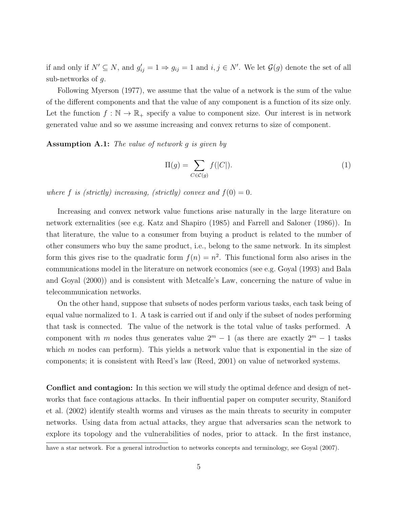if and only if  $N' \subseteq N$ , and  $g'_{ij} = 1 \Rightarrow g_{ij} = 1$  and  $i, j \in N'$ . We let  $\mathcal{G}(g)$  denote the set of all sub-networks of g.

Following Myerson (1977), we assume that the value of a network is the sum of the value of the different components and that the value of any component is a function of its size only. Let the function  $f : \mathbb{N} \to \mathbb{R}_+$  specify a value to component size. Our interest is in network generated value and so we assume increasing and convex returns to size of component.

Assumption A.1: The value of network g is given by

$$
\Pi(g) = \sum_{C \in \mathcal{C}(g)} f(|C|). \tag{1}
$$

where f is (strictly) increasing, (strictly) convex and  $f(0) = 0$ .

Increasing and convex network value functions arise naturally in the large literature on network externalities (see e.g. Katz and Shapiro (1985) and Farrell and Saloner (1986)). In that literature, the value to a consumer from buying a product is related to the number of other consumers who buy the same product, i.e., belong to the same network. In its simplest form this gives rise to the quadratic form  $f(n) = n^2$ . This functional form also arises in the communications model in the literature on network economics (see e.g. Goyal (1993) and Bala and Goyal (2000)) and is consistent with Metcalfe's Law, concerning the nature of value in telecommunication networks.

On the other hand, suppose that subsets of nodes perform various tasks, each task being of equal value normalized to 1. A task is carried out if and only if the subset of nodes performing that task is connected. The value of the network is the total value of tasks performed. A component with m nodes thus generates value  $2^m - 1$  (as there are exactly  $2^m - 1$  tasks which  $m$  nodes can perform). This yields a network value that is exponential in the size of components; it is consistent with Reed's law (Reed, 2001) on value of networked systems.

Conflict and contagion: In this section we will study the optimal defence and design of networks that face contagious attacks. In their influential paper on computer security, Staniford et al. (2002) identify stealth worms and viruses as the main threats to security in computer networks. Using data from actual attacks, they argue that adversaries scan the network to explore its topology and the vulnerabilities of nodes, prior to attack. In the first instance,

have a star network. For a general introduction to networks concepts and terminology, see Goyal (2007).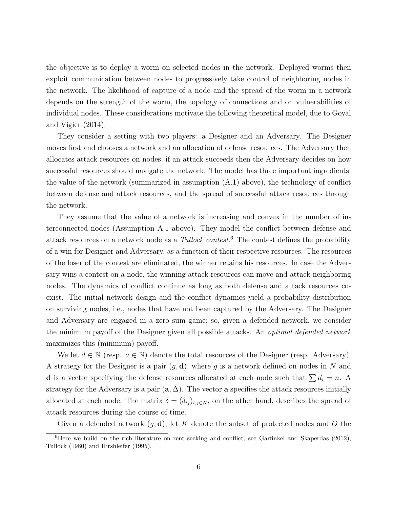the objective is to deploy a worm on selected nodes in the network. Deployed worms then exploit communication between nodes to progressively take control of neighboring nodes in the network. The likelihood of capture of a node and the spread of the worm in a network depends on the strength of the worm, the topology of connections and on vulnerabilities of individual nodes. These considerations motivate the following theoretical model, due to Goyal and Vigier (2014).

They consider a setting with two players: a Designer and an Adversary. The Designer moves first and chooses a network and an allocation of defense resources. The Adversary then allocates attack resources on nodes; if an attack succeeds then the Adversary decides on how successful resources should navigate the network. The model has three important ingredients: the value of the network (summarized in assumption (A.1) above), the technology of conflict between defense and attack resources, and the spread of successful attack resources through the network.

They assume that the value of a network is increasing and convex in the number of interconnected nodes (Assumption A.1 above). They model the conflict between defense and attack resources on a network node as a Tullock contest.<sup>6</sup> The contest defines the probability of a win for Designer and Adversary, as a function of their respective resources. The resources of the loser of the contest are eliminated, the winner retains his resources. In case the Adversary wins a contest on a node, the winning attack resources can move and attack neighboring nodes. The dynamics of conflict continue as long as both defense and attack resources coexist. The initial network design and the conflict dynamics yield a probability distribution on surviving nodes, i.e., nodes that have not been captured by the Adversary. The Designer and Adversary are engaged in a zero sum game; so, given a defended network, we consider the minimum payoff of the Designer given all possible attacks. An optimal defended network maximizes this (minimum) payoff.

We let  $d \in \mathbb{N}$  (resp.  $a \in \mathbb{N}$ ) denote the total resources of the Designer (resp. Adversary). A strategy for the Designer is a pair  $(g, \mathbf{d})$ , where g is a network defined on nodes in N and d is a vector specifying the defense resources allocated at each node such that  $\sum d_i = n$ . A strategy for the Adversary is a pair  $(a, \Delta)$ . The vector **a** specifies the attack resources initially allocated at each node. The matrix  $\delta = (\delta_{ij})_{i,j \in N}$ , on the other hand, describes the spread of attack resources during the course of time.

Given a defended network  $(g, \mathbf{d})$ , let K denote the subset of protected nodes and O the

 ${}^{6}$ Here we build on the rich literature on rent seeking and conflict, see Garfinkel and Skaperdas (2012), Tullock (1980) and Hirshleifer (1995).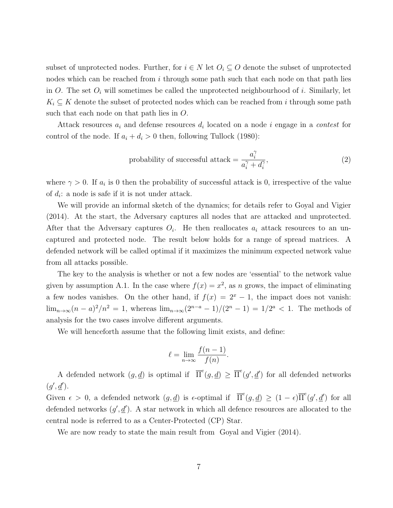subset of unprotected nodes. Further, for  $i \in N$  let  $O_i \subseteq O$  denote the subset of unprotected nodes which can be reached from  $i$  through some path such that each node on that path lies in O. The set  $O_i$  will sometimes be called the unprotected neighbourhood of i. Similarly, let  $K_i \subseteq K$  denote the subset of protected nodes which can be reached from i through some path such that each node on that path lies in O.

Attack resources  $a_i$  and defense resources  $d_i$  located on a node i engage in a *contest* for control of the node. If  $a_i + d_i > 0$  then, following Tullock (1980):

probability of successful attack = 
$$
\frac{a_i^{\gamma}}{a_i^{\gamma} + d_i^{\gamma}},
$$
 (2)

where  $\gamma > 0$ . If  $a_i$  is 0 then the probability of successful attack is 0, irrespective of the value of  $d_i$ : a node is safe if it is not under attack.

We will provide an informal sketch of the dynamics; for details refer to Goyal and Vigier (2014). At the start, the Adversary captures all nodes that are attacked and unprotected. After that the Adversary captures  $O_i$ . He then reallocates  $a_i$  attack resources to an uncaptured and protected node. The result below holds for a range of spread matrices. A defended network will be called optimal if it maximizes the minimum expected network value from all attacks possible.

The key to the analysis is whether or not a few nodes are 'essential' to the network value given by assumption A.1. In the case where  $f(x) = x^2$ , as n grows, the impact of eliminating a few nodes vanishes. On the other hand, if  $f(x) = 2^x - 1$ , the impact does not vanish:  $\lim_{n\to\infty}$  $(n-a)^2/n^2 = 1$ , whereas  $\lim_{n\to\infty}$  $\frac{(2^{n-a}-1)}{(2^n-1)} = \frac{1}{2^a} < 1$ . The methods of analysis for the two cases involve different arguments.

We will henceforth assume that the following limit exists, and define:

$$
\ell = \lim_{n \to \infty} \frac{f(n-1)}{f(n)}.
$$

A defended network  $(g, \underline{d})$  is optimal if  $\overline{\Pi}^e(g, \underline{d}) \geq \overline{\Pi}^e(g', \underline{d}')$  for all defended networks  $(g', \underline{d}').$ 

Given  $\epsilon > 0$ , a defended network  $(g, \underline{d})$  is  $\epsilon$ -optimal if  $\overline{\Pi}^e(g, \underline{d}) \geq (1 - \epsilon)\overline{\Pi}^e(g', \underline{d}')$  for all defended networks  $(g', \underline{d}')$ . A star network in which all defence resources are allocated to the central node is referred to as a Center-Protected (CP) Star.

We are now ready to state the main result from Goyal and Vigier (2014).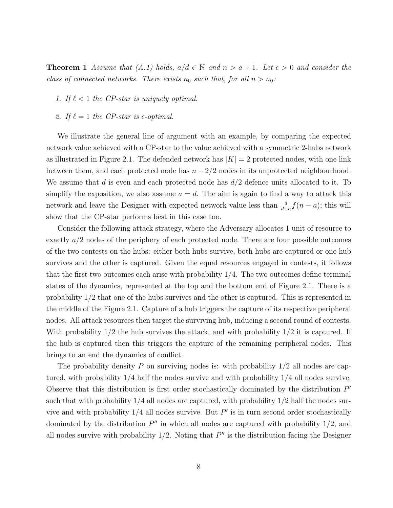**Theorem 1** Assume that (A.1) holds,  $a/d \in \mathbb{N}$  and  $n > a + 1$ . Let  $\epsilon > 0$  and consider the class of connected networks. There exists  $n_0$  such that, for all  $n > n_0$ :

- 1. If  $\ell < 1$  the CP-star is uniquely optimal.
- 2. If  $\ell = 1$  the CP-star is  $\epsilon$ -optimal.

We illustrate the general line of argument with an example, by comparing the expected network value achieved with a CP-star to the value achieved with a symmetric 2-hubs network as illustrated in Figure 2.1. The defended network has  $|K| = 2$  protected nodes, with one link between them, and each protected node has  $n - 2/2$  nodes in its unprotected neighbourhood. We assume that d is even and each protected node has  $d/2$  defence units allocated to it. To simplify the exposition, we also assume  $a = d$ . The aim is again to find a way to attack this network and leave the Designer with expected network value less than  $\frac{d}{d+a}f(n-a)$ ; this will show that the CP-star performs best in this case too.

Consider the following attack strategy, where the Adversary allocates 1 unit of resource to exactly a/2 nodes of the periphery of each protected node. There are four possible outcomes of the two contests on the hubs: either both hubs survive, both hubs are captured or one hub survives and the other is captured. Given the equal resources engaged in contests, it follows that the first two outcomes each arise with probability  $1/4$ . The two outcomes define terminal states of the dynamics, represented at the top and the bottom end of Figure 2.1. There is a probability 1/2 that one of the hubs survives and the other is captured. This is represented in the middle of the Figure 2.1. Capture of a hub triggers the capture of its respective peripheral nodes. All attack resources then target the surviving hub, inducing a second round of contests. With probability  $1/2$  the hub survives the attack, and with probability  $1/2$  it is captured. If the hub is captured then this triggers the capture of the remaining peripheral nodes. This brings to an end the dynamics of conflict.

The probability density  $P$  on surviving nodes is: with probability  $1/2$  all nodes are captured, with probability 1/4 half the nodes survive and with probability 1/4 all nodes survive. Observe that this distribution is first order stochastically dominated by the distribution  $P'$ such that with probability  $1/4$  all nodes are captured, with probability  $1/2$  half the nodes survive and with probability  $1/4$  all nodes survive. But  $P'$  is in turn second order stochastically dominated by the distribution  $P''$  in which all nodes are captured with probability  $1/2$ , and all nodes survive with probability  $1/2$ . Noting that  $P''$  is the distribution facing the Designer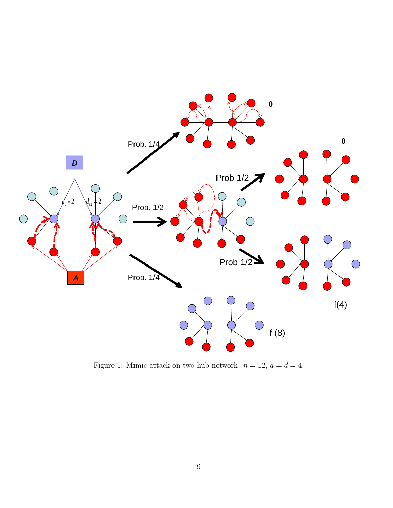

Figure 1: Mimic attack on two-hub network:  $n = 12$ ,  $a = d = 4$ .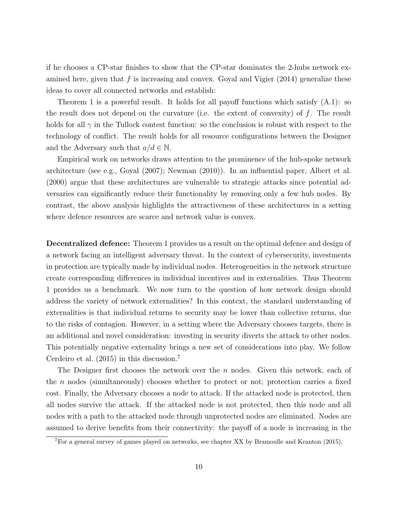if he chooses a CP-star finishes to show that the CP-star dominates the 2-hubs network examined here, given that f is increasing and convex. Goyal and Vigier  $(2014)$  generalize these ideas to cover all connected networks and establish:

Theorem 1 is a powerful result. It holds for all payoff functions which satisfy (A.1): so the result does not depend on the curvature (i.e. the extent of convexity) of  $f$ . The result holds for all  $\gamma$  in the Tullock contest function: so the conclusion is robust with respect to the technology of conflict. The result holds for all resource configurations between the Designer and the Adversary such that  $a/d \in \mathbb{N}$ .

Empirical work on networks draws attention to the prominence of the hub-spoke network architecture (see e.g., Goyal (2007); Newman (2010)). In an influential paper, Albert et al. (2000) argue that these architectures are vulnerable to strategic attacks since potential adversaries can significantly reduce their functionality by removing only a few hub nodes. By contrast, the above analysis highlights the attractiveness of these architectures in a setting where defence resources are scarce and network value is convex.

Decentralized defence: Theorem 1 provides us a result on the optimal defence and design of a network facing an intelligent adversary threat. In the context of cybersecurity, investments in protection are typically made by individual nodes. Heterogeneities in the network structure create corresponding differences in individual incentives and in externalities. Thus Theorem 1 provides us a benchmark. We now turn to the question of how network design should address the variety of network externalities? In this context, the standard understanding of externalities is that individual returns to security may be lower than collective returns, due to the risks of contagion. However, in a setting where the Adversary chooses targets, there is an additional and novel consideration: investing in security diverts the attack to other nodes. This potentially negative externality brings a new set of considerations into play. We follow Cerdeiro et al. (2015) in this discussion.<sup>7</sup>

The Designer first chooses the network over the n nodes. Given this network, each of the  $n$  nodes (simultaneously) chooses whether to protect or not; protection carries a fixed cost. Finally, the Adversary chooses a node to attack. If the attacked node is protected, then all nodes survive the attack. If the attacked node is not protected, then this node and all nodes with a path to the attacked node through unprotected nodes are eliminated. Nodes are assumed to derive benefits from their connectivity: the payoff of a node is increasing in the

<sup>7</sup>For a general survey of games played on networks, see chapter XX by Bramoulle and Kranton (2015).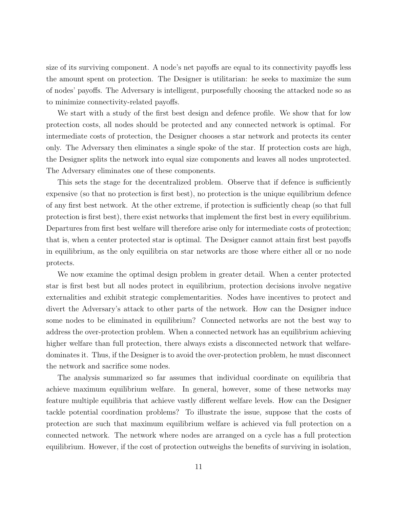size of its surviving component. A node's net payoffs are equal to its connectivity payoffs less the amount spent on protection. The Designer is utilitarian: he seeks to maximize the sum of nodes' payoffs. The Adversary is intelligent, purposefully choosing the attacked node so as to minimize connectivity-related payoffs.

We start with a study of the first best design and defence profile. We show that for low protection costs, all nodes should be protected and any connected network is optimal. For intermediate costs of protection, the Designer chooses a star network and protects its center only. The Adversary then eliminates a single spoke of the star. If protection costs are high, the Designer splits the network into equal size components and leaves all nodes unprotected. The Adversary eliminates one of these components.

This sets the stage for the decentralized problem. Observe that if defence is sufficiently expensive (so that no protection is first best), no protection is the unique equilibrium defence of any first best network. At the other extreme, if protection is sufficiently cheap (so that full protection is first best), there exist networks that implement the first best in every equilibrium. Departures from first best welfare will therefore arise only for intermediate costs of protection; that is, when a center protected star is optimal. The Designer cannot attain first best payoffs in equilibrium, as the only equilibria on star networks are those where either all or no node protects.

We now examine the optimal design problem in greater detail. When a center protected star is first best but all nodes protect in equilibrium, protection decisions involve negative externalities and exhibit strategic complementarities. Nodes have incentives to protect and divert the Adversary's attack to other parts of the network. How can the Designer induce some nodes to be eliminated in equilibrium? Connected networks are not the best way to address the over-protection problem. When a connected network has an equilibrium achieving higher welfare than full protection, there always exists a disconnected network that welfaredominates it. Thus, if the Designer is to avoid the over-protection problem, he must disconnect the network and sacrifice some nodes.

The analysis summarized so far assumes that individual coordinate on equilibria that achieve maximum equilibrium welfare. In general, however, some of these networks may feature multiple equilibria that achieve vastly different welfare levels. How can the Designer tackle potential coordination problems? To illustrate the issue, suppose that the costs of protection are such that maximum equilibrium welfare is achieved via full protection on a connected network. The network where nodes are arranged on a cycle has a full protection equilibrium. However, if the cost of protection outweighs the benefits of surviving in isolation,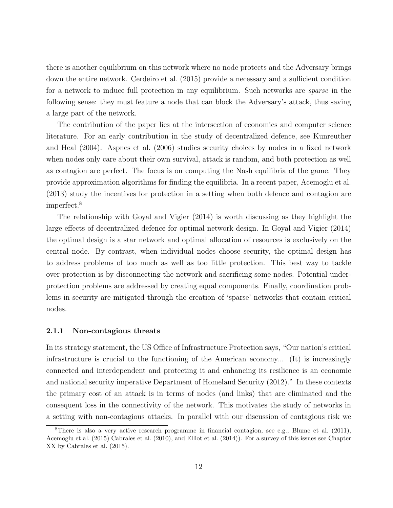there is another equilibrium on this network where no node protects and the Adversary brings down the entire network. Cerdeiro et al. (2015) provide a necessary and a sufficient condition for a network to induce full protection in any equilibrium. Such networks are sparse in the following sense: they must feature a node that can block the Adversary's attack, thus saving a large part of the network.

The contribution of the paper lies at the intersection of economics and computer science literature. For an early contribution in the study of decentralized defence, see Kunreuther and Heal (2004). Aspnes et al. (2006) studies security choices by nodes in a fixed network when nodes only care about their own survival, attack is random, and both protection as well as contagion are perfect. The focus is on computing the Nash equilibria of the game. They provide approximation algorithms for finding the equilibria. In a recent paper, Acemoglu et al. (2013) study the incentives for protection in a setting when both defence and contagion are imperfect.<sup>8</sup>

The relationship with Goyal and Vigier (2014) is worth discussing as they highlight the large effects of decentralized defence for optimal network design. In Goyal and Vigier (2014) the optimal design is a star network and optimal allocation of resources is exclusively on the central node. By contrast, when individual nodes choose security, the optimal design has to address problems of too much as well as too little protection. This best way to tackle over-protection is by disconnecting the network and sacrificing some nodes. Potential underprotection problems are addressed by creating equal components. Finally, coordination problems in security are mitigated through the creation of 'sparse' networks that contain critical nodes.

#### 2.1.1 Non-contagious threats

In its strategy statement, the US Office of Infrastructure Protection says, "Our nation's critical infrastructure is crucial to the functioning of the American economy... (It) is increasingly connected and interdependent and protecting it and enhancing its resilience is an economic and national security imperative Department of Homeland Security (2012)." In these contexts the primary cost of an attack is in terms of nodes (and links) that are eliminated and the consequent loss in the connectivity of the network. This motivates the study of networks in a setting with non-contagious attacks. In parallel with our discussion of contagious risk we

<sup>8</sup>There is also a very active research programme in financial contagion, see e.g., Blume et al. (2011), Acemoglu et al. (2015) Cabrales et al. (2010), and Elliot et al. (2014)). For a survey of this issues see Chapter XX by Cabrales et al. (2015).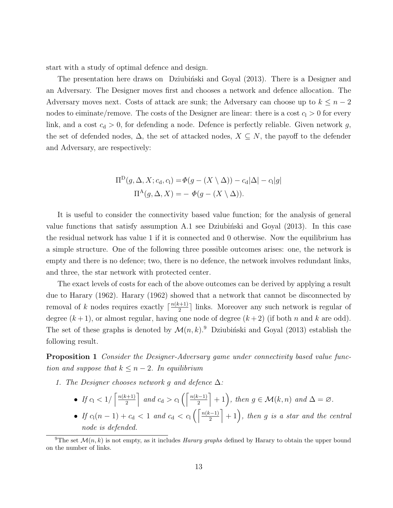start with a study of optimal defence and design.

The presentation here draws on Dziubinski and Goyal (2013). There is a Designer and an Adversary. The Designer moves first and chooses a network and defence allocation. The Adversary moves next. Costs of attack are sunk; the Adversary can choose up to  $k \leq n-2$ nodes to eiminate/remove. The costs of the Designer are linear: there is a cost  $c_1 > 0$  for every link, and a cost  $c_d > 0$ , for defending a node. Defence is perfectly reliable. Given network g, the set of defended nodes,  $\Delta$ , the set of attacked nodes,  $X \subseteq N$ , the payoff to the defender and Adversary, are respectively:

$$
\Pi^{D}(g, \Delta, X; c_{d}, c_{l}) = \Phi(g - (X \setminus \Delta)) - c_{d}|\Delta| - c_{l}|g|
$$
  

$$
\Pi^{A}(g, \Delta, X) = - \Phi(g - (X \setminus \Delta)).
$$

It is useful to consider the connectivity based value function; for the analysis of general value functions that satisfy assumption A.1 see Dziubinski and Goyal  $(2013)$ . In this case the residual network has value 1 if it is connected and 0 otherwise. Now the equilibrium has a simple structure. One of the following three possible outcomes arises: one, the network is empty and there is no defence; two, there is no defence, the network involves redundant links, and three, the star network with protected center.

The exact levels of costs for each of the above outcomes can be derived by applying a result due to Harary (1962). Harary (1962) showed that a network that cannot be disconnected by removal of k nodes requires exactly  $\lceil \frac{n(k+1)}{2} \rceil$  $\frac{2^{x+1}}{2}$  links. Moreover any such network is regular of degree  $(k+1)$ , or almost regular, having one node of degree  $(k+2)$  (if both n and k are odd). The set of these graphs is denoted by  $\mathcal{M}(n, k)$ .<sup>9</sup> Dziubiński and Goyal (2013) establish the following result.

Proposition 1 Consider the Designer-Adversary game under connectivity based value function and suppose that  $k \leq n-2$ . In equilibrium

1. The Designer chooses network q and defence  $\Delta$ :

• If 
$$
c_1 < 1/\left\lceil \frac{n(k+1)}{2} \right\rceil
$$
 and  $c_d > c_1 \left( \left\lceil \frac{n(k-1)}{2} \right\rceil + 1 \right)$ , then  $g \in \mathcal{M}(k, n)$  and  $\Delta = \emptyset$ .

• If  $c_1(n-1) + c_d < 1$  and  $c_d < c_1\left(\left\lceil \frac{n(k-1)}{2} \right\rceil + 1\right)$ , then g is a star and the central node is defended.

<sup>&</sup>lt;sup>9</sup>The set  $\mathcal{M}(n,k)$  is not empty, as it includes *Harary graphs* defined by Harary to obtain the upper bound on the number of links.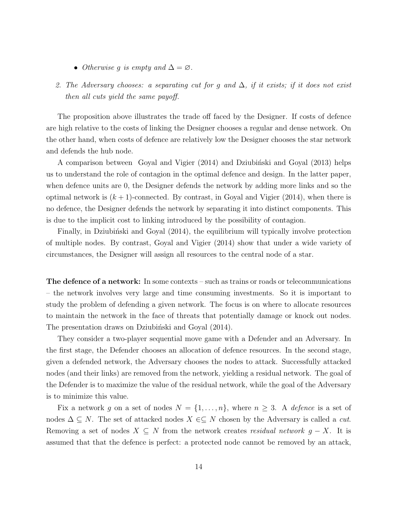- Otherwise q is empty and  $\Delta = \emptyset$ .
- 2. The Adversary chooses: a separating cut for q and  $\Delta$ , if it exists; if it does not exist then all cuts yield the same payoff.

The proposition above illustrates the trade off faced by the Designer. If costs of defence are high relative to the costs of linking the Designer chooses a regular and dense network. On the other hand, when costs of defence are relatively low the Designer chooses the star network and defends the hub node.

A comparison between Goyal and Vigier (2014) and Dziubiński and Goyal (2013) helps us to understand the role of contagion in the optimal defence and design. In the latter paper, when defence units are 0, the Designer defends the network by adding more links and so the optimal network is  $(k+1)$ -connected. By contrast, in Goyal and Vigier (2014), when there is no defence, the Designer defends the network by separating it into distinct components. This is due to the implicit cost to linking introduced by the possibility of contagion.

Finally, in Dziubinski and Goyal (2014), the equilibrium will typically involve protection of multiple nodes. By contrast, Goyal and Vigier (2014) show that under a wide variety of circumstances, the Designer will assign all resources to the central node of a star.

The defence of a network: In some contexts – such as trains or roads or telecommunications – the network involves very large and time consuming investments. So it is important to study the problem of defending a given network. The focus is on where to allocate resources to maintain the network in the face of threats that potentially damage or knock out nodes. The presentation draws on Dziubiński and Goyal (2014).

They consider a two-player sequential move game with a Defender and an Adversary. In the first stage, the Defender chooses an allocation of defence resources. In the second stage, given a defended network, the Adversary chooses the nodes to attack. Successfully attacked nodes (and their links) are removed from the network, yielding a residual network. The goal of the Defender is to maximize the value of the residual network, while the goal of the Adversary is to minimize this value.

Fix a network g on a set of nodes  $N = \{1, \ldots, n\}$ , where  $n \geq 3$ . A defence is a set of nodes  $\Delta \subseteq N$ . The set of attacked nodes  $X \in \subseteq N$  chosen by the Adversary is called a *cut*. Removing a set of nodes  $X \subseteq N$  from the network creates *residual network*  $g - X$ . It is assumed that that the defence is perfect: a protected node cannot be removed by an attack,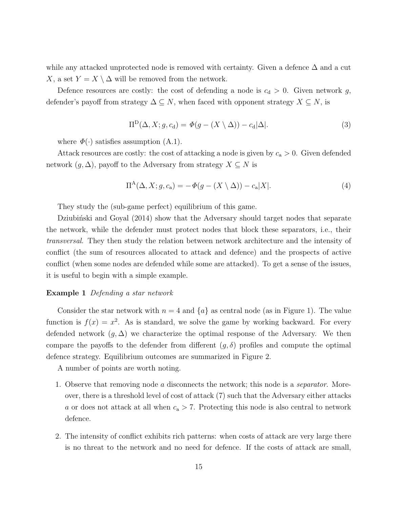while any attacked unprotected node is removed with certainty. Given a defence  $\Delta$  and a cut X, a set  $Y = X \setminus \Delta$  will be removed from the network.

Defence resources are costly: the cost of defending a node is  $c_d > 0$ . Given network g, defender's payoff from strategy  $\Delta \subseteq N$ , when faced with opponent strategy  $X \subseteq N$ , is

$$
\Pi^{D}(\Delta, X; g, c_{d}) = \Phi(g - (X \setminus \Delta)) - c_{d}|\Delta|.
$$
\n(3)

where  $\Phi(\cdot)$  satisfies assumption (A.1).

Attack resources are costly: the cost of attacking a node is given by  $c_a > 0$ . Given defended network  $(g, \Delta)$ , payoff to the Adversary from strategy  $X \subseteq N$  is

$$
\Pi^{\mathcal{A}}(\Delta, X; g, c_{\mathbf{a}}) = -\Phi(g - (X \setminus \Delta)) - c_{\mathbf{a}}|X|.
$$
\n(4)

They study the (sub-game perfect) equilibrium of this game.

Dziubinski and Goyal  $(2014)$  show that the Adversary should target nodes that separate the network, while the defender must protect nodes that block these separators, i.e., their transversal. They then study the relation between network architecture and the intensity of conflict (the sum of resources allocated to attack and defence) and the prospects of active conflict (when some nodes are defended while some are attacked). To get a sense of the issues, it is useful to begin with a simple example.

#### Example 1 Defending a star network

Consider the star network with  $n = 4$  and  $\{a\}$  as central node (as in Figure 1). The value function is  $f(x) = x^2$ . As is standard, we solve the game by working backward. For every defended network  $(g, \Delta)$  we characterize the optimal response of the Adversary. We then compare the payoffs to the defender from different  $(g, \delta)$  profiles and compute the optimal defence strategy. Equilibrium outcomes are summarized in Figure 2.

A number of points are worth noting.

- 1. Observe that removing node a disconnects the network; this node is a *separator*. Moreover, there is a threshold level of cost of attack (7) such that the Adversary either attacks a or does not attack at all when  $c_a > 7$ . Protecting this node is also central to network defence.
- 2. The intensity of conflict exhibits rich patterns: when costs of attack are very large there is no threat to the network and no need for defence. If the costs of attack are small,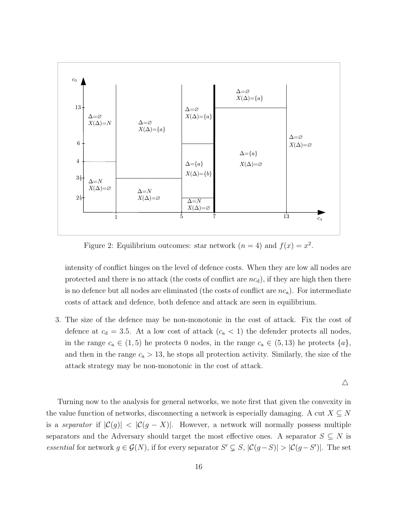

Figure 2: Equilibrium outcomes: star network  $(n = 4)$  and  $f(x) = x^2$ .

intensity of conflict hinges on the level of defence costs. When they are low all nodes are protected and there is no attack (the costs of conflict are  $nc<sub>d</sub>$ ), if they are high then there is no defence but all nodes are eliminated (the costs of conflict are  $nc_a$ ). For intermediate costs of attack and defence, both defence and attack are seen in equilibrium.

3. The size of the defence may be non-monotonic in the cost of attack. Fix the cost of defence at  $c_d = 3.5$ . At a low cost of attack  $(c_a < 1)$  the defender protects all nodes, in the range  $c_a \in (1, 5)$  he protects 0 nodes, in the range  $c_a \in (5, 13)$  he protects  $\{a\}$ , and then in the range  $c_a > 13$ , he stops all protection activity. Similarly, the size of the attack strategy may be non-monotonic in the cost of attack.

$$
\triangle
$$

Turning now to the analysis for general networks, we note first that given the convexity in the value function of networks, disconnecting a network is especially damaging. A cut  $X \subseteq N$ is a separator if  $|\mathcal{C}(g)| < |\mathcal{C}(g - X)|$ . However, a network will normally possess multiple separators and the Adversary should target the most effective ones. A separator  $S \subseteq N$  is essential for network  $g \in \mathcal{G}(N)$ , if for every separator  $S' \subsetneq S$ ,  $|\mathcal{C}(g-S)| > |\mathcal{C}(g-S')|$ . The set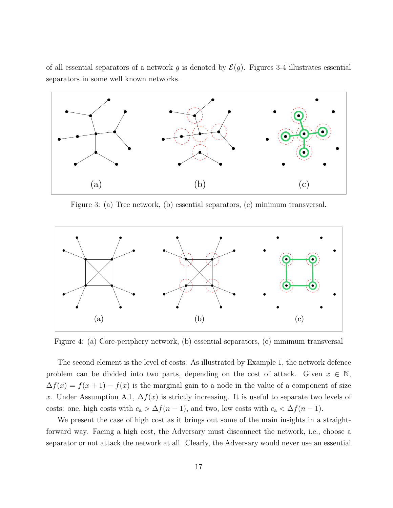of all essential separators of a network g is denoted by  $\mathcal{E}(g)$ . Figures 3-4 illustrates essential separators in some well known networks.



Figure 3: (a) Tree network, (b) essential separators, (c) minimum transversal.



Figure 4: (a) Core-periphery network, (b) essential separators, (c) minimum transversal

The second element is the level of costs. As illustrated by Example 1, the network defence problem can be divided into two parts, depending on the cost of attack. Given  $x \in \mathbb{N}$ ,  $\Delta f(x) = f(x+1) - f(x)$  is the marginal gain to a node in the value of a component of size x. Under Assumption A.1,  $\Delta f(x)$  is strictly increasing. It is useful to separate two levels of costs: one, high costs with  $c_a > \Delta f(n-1)$ , and two, low costs with  $c_a < \Delta f(n-1)$ .

We present the case of high cost as it brings out some of the main insights in a straightforward way. Facing a high cost, the Adversary must disconnect the network, i.e., choose a separator or not attack the network at all. Clearly, the Adversary would never use an essential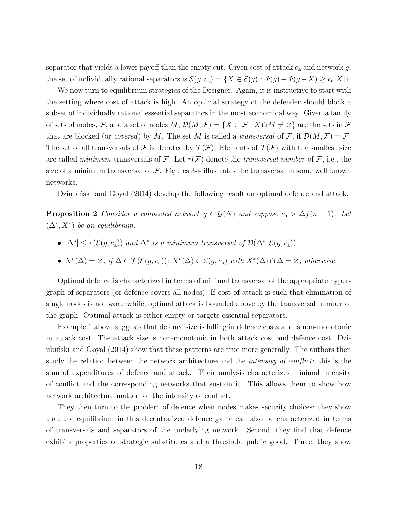separator that yields a lower payoff than the empty cut. Given cost of attack  $c_a$  and network g, the set of individually rational separators is  $\mathcal{E}(g, c_{\rm a}) = \{X \in \mathcal{E}(g) : \Phi(g) - \Phi(g - X) \ge c_{\rm a}|X|\}.$ 

We now turn to equilibrium strategies of the Designer. Again, it is instructive to start with the setting where cost of attack is high. An optimal strategy of the defender should block a subset of individually rational essential separators in the most economical way. Given a family of sets of nodes, F, and a set of nodes  $M, \mathcal{D}(M, \mathcal{F}) = \{X \in \mathcal{F} : X \cap M \neq \emptyset\}$  are the sets in F that are blocked (or *covered*) by M. The set M is called a *transversal* of F, if  $\mathcal{D}(M, \mathcal{F}) = \mathcal{F}$ . The set of all transversals of F is denoted by  $\mathcal{T}(\mathcal{F})$ . Elements of  $\mathcal{T}(\mathcal{F})$  with the smallest size are called minimum transversals of F. Let  $\tau(\mathcal{F})$  denote the transversal number of F, i.e., the size of a minimum transversal of  $\mathcal F$ . Figures 3-4 illustrates the transversal in some well known networks.

Dziubinski and Goyal (2014) develop the following result on optimal defence and attack.

**Proposition 2** Consider a connected network  $g \in \mathcal{G}(N)$  and suppose  $c_a > \Delta f(n-1)$ . Let  $(\Delta^*, X^*)$  be an equilibrium.

- $|\Delta^*| \leq \tau(\mathcal{E}(g,c_a))$  and  $\Delta^*$  is a minimum transversal of  $\mathcal{D}(\Delta^*, \mathcal{E}(g,c_a))$ .
- $X^*(\Delta) = \emptyset$ , if  $\Delta \in \mathcal{T}(\mathcal{E}(g, c_{\rm a}))$ ;  $X^*(\Delta) \in \mathcal{E}(g, c_{\rm a})$  with  $X^*(\Delta) \cap \Delta = \emptyset$ , otherwise.

Optimal defence is characterized in terms of minimal transversal of the appropriate hypergraph of separators (or defence covers all nodes). If cost of attack is such that elimination of single nodes is not worthwhile, optimal attack is bounded above by the transversal number of the graph. Optimal attack is either empty or targets essential separators.

Example 1 above suggests that defence size is falling in defence costs and is non-monotonic in attack cost. The attack size is non-monotonic in both attack cost and defence cost. Dziubinski and Goyal  $(2014)$  show that these patterns are true more generally. The authors then study the relation between the network architecture and the *intensity of conflict*: this is the sum of expenditures of defence and attack. Their analysis characterizes minimal intensity of conflict and the corresponding networks that sustain it. This allows them to show how network architecture matter for the intensity of conflict.

They then turn to the problem of defence when nodes makes security choices: they show that the equilibrium in this decentralized defence game can also be characterized in terms of transversals and separators of the underlying network. Second, they find that defence exhibits properties of strategic substitutes and a threshold public good. Three, they show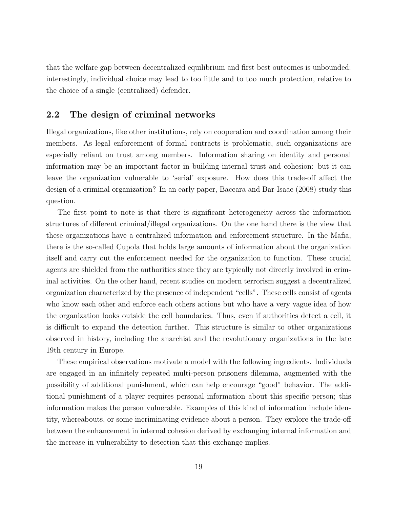that the welfare gap between decentralized equilibrium and first best outcomes is unbounded: interestingly, individual choice may lead to too little and to too much protection, relative to the choice of a single (centralized) defender.

#### 2.2 The design of criminal networks

Illegal organizations, like other institutions, rely on cooperation and coordination among their members. As legal enforcement of formal contracts is problematic, such organizations are especially reliant on trust among members. Information sharing on identity and personal information may be an important factor in building internal trust and cohesion: but it can leave the organization vulnerable to 'serial' exposure. How does this trade-off affect the design of a criminal organization? In an early paper, Baccara and Bar-Isaac (2008) study this question.

The first point to note is that there is significant heterogeneity across the information structures of different criminal/illegal organizations. On the one hand there is the view that these organizations have a centralized information and enforcement structure. In the Mafia, there is the so-called Cupola that holds large amounts of information about the organization itself and carry out the enforcement needed for the organization to function. These crucial agents are shielded from the authorities since they are typically not directly involved in criminal activities. On the other hand, recent studies on modern terrorism suggest a decentralized organization characterized by the presence of independent "cells". These cells consist of agents who know each other and enforce each others actions but who have a very vague idea of how the organization looks outside the cell boundaries. Thus, even if authorities detect a cell, it is difficult to expand the detection further. This structure is similar to other organizations observed in history, including the anarchist and the revolutionary organizations in the late 19th century in Europe.

These empirical observations motivate a model with the following ingredients. Individuals are engaged in an infinitely repeated multi-person prisoners dilemma, augmented with the possibility of additional punishment, which can help encourage "good" behavior. The additional punishment of a player requires personal information about this specific person; this information makes the person vulnerable. Examples of this kind of information include identity, whereabouts, or some incriminating evidence about a person. They explore the trade-off between the enhancement in internal cohesion derived by exchanging internal information and the increase in vulnerability to detection that this exchange implies.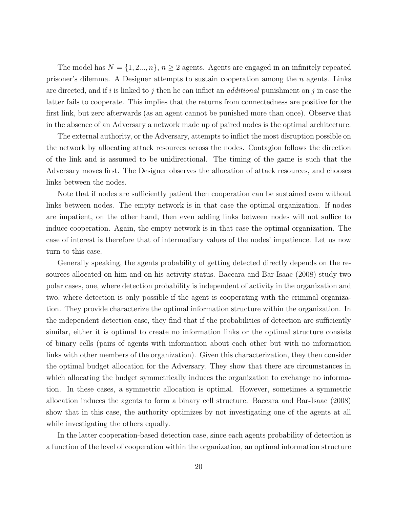The model has  $N = \{1, 2..., n\}, n \geq 2$  agents. Agents are engaged in an infinitely repeated prisoner's dilemma. A Designer attempts to sustain cooperation among the  $n$  agents. Links are directed, and if i is linked to j then he can inflict an *additional* punishment on j in case the latter fails to cooperate. This implies that the returns from connectedness are positive for the first link, but zero afterwards (as an agent cannot be punished more than once). Observe that in the absence of an Adversary a network made up of paired nodes is the optimal architecture.

The external authority, or the Adversary, attempts to inflict the most disruption possible on the network by allocating attack resources across the nodes. Contagion follows the direction of the link and is assumed to be unidirectional. The timing of the game is such that the Adversary moves first. The Designer observes the allocation of attack resources, and chooses links between the nodes.

Note that if nodes are sufficiently patient then cooperation can be sustained even without links between nodes. The empty network is in that case the optimal organization. If nodes are impatient, on the other hand, then even adding links between nodes will not suffice to induce cooperation. Again, the empty network is in that case the optimal organization. The case of interest is therefore that of intermediary values of the nodes' impatience. Let us now turn to this case.

Generally speaking, the agents probability of getting detected directly depends on the resources allocated on him and on his activity status. Baccara and Bar-Isaac (2008) study two polar cases, one, where detection probability is independent of activity in the organization and two, where detection is only possible if the agent is cooperating with the criminal organization. They provide characterize the optimal information structure within the organization. In the independent detection case, they find that if the probabilities of detection are sufficiently similar, either it is optimal to create no information links or the optimal structure consists of binary cells (pairs of agents with information about each other but with no information links with other members of the organization). Given this characterization, they then consider the optimal budget allocation for the Adversary. They show that there are circumstances in which allocating the budget symmetrically induces the organization to exchange no information. In these cases, a symmetric allocation is optimal. However, sometimes a symmetric allocation induces the agents to form a binary cell structure. Baccara and Bar-Isaac (2008) show that in this case, the authority optimizes by not investigating one of the agents at all while investigating the others equally.

In the latter cooperation-based detection case, since each agents probability of detection is a function of the level of cooperation within the organization, an optimal information structure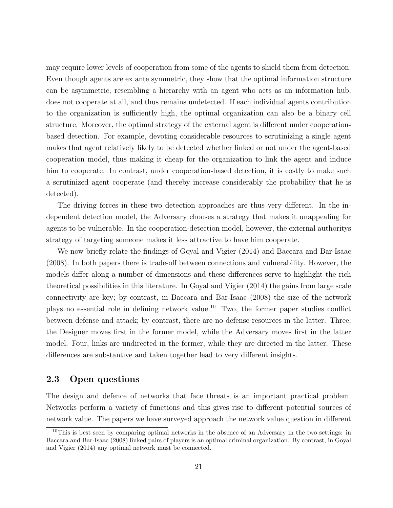may require lower levels of cooperation from some of the agents to shield them from detection. Even though agents are ex ante symmetric, they show that the optimal information structure can be asymmetric, resembling a hierarchy with an agent who acts as an information hub, does not cooperate at all, and thus remains undetected. If each individual agents contribution to the organization is sufficiently high, the optimal organization can also be a binary cell structure. Moreover, the optimal strategy of the external agent is different under cooperationbased detection. For example, devoting considerable resources to scrutinizing a single agent makes that agent relatively likely to be detected whether linked or not under the agent-based cooperation model, thus making it cheap for the organization to link the agent and induce him to cooperate. In contrast, under cooperation-based detection, it is costly to make such a scrutinized agent cooperate (and thereby increase considerably the probability that he is detected).

The driving forces in these two detection approaches are thus very different. In the independent detection model, the Adversary chooses a strategy that makes it unappealing for agents to be vulnerable. In the cooperation-detection model, however, the external authoritys strategy of targeting someone makes it less attractive to have him cooperate.

We now briefly relate the findings of Goyal and Vigier (2014) and Baccara and Bar-Isaac (2008). In both papers there is trade-off between connections and vulnerability. However, the models differ along a number of dimensions and these differences serve to highlight the rich theoretical possibilities in this literature. In Goyal and Vigier (2014) the gains from large scale connectivity are key; by contrast, in Baccara and Bar-Isaac (2008) the size of the network plays no essential role in defining network value.<sup>10</sup> Two, the former paper studies conflict between defense and attack; by contrast, there are no defense resources in the latter. Three, the Designer moves first in the former model, while the Adversary moves first in the latter model. Four, links are undirected in the former, while they are directed in the latter. These differences are substantive and taken together lead to very different insights.

#### 2.3 Open questions

The design and defence of networks that face threats is an important practical problem. Networks perform a variety of functions and this gives rise to different potential sources of network value. The papers we have surveyed approach the network value question in different

<sup>10</sup>This is best seen by comparing optimal networks in the absence of an Adversary in the two settings: in Baccara and Bar-Isaac (2008) linked pairs of players is an optimal criminal organization. By contrast, in Goyal and Vigier (2014) any optimal network must be connected.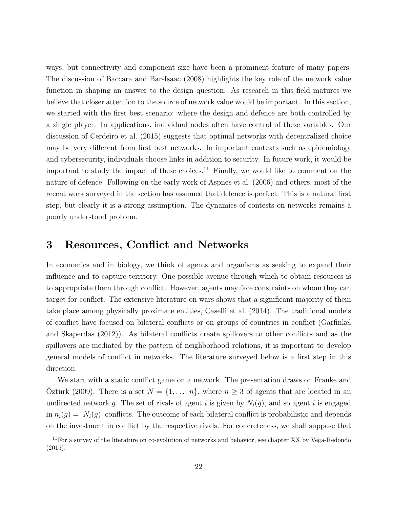ways, but connectivity and component size have been a prominent feature of many papers. The discussion of Baccara and Bar-Isaac (2008) highlights the key role of the network value function in shaping an answer to the design question. As research in this field matures we believe that closer attention to the source of network value would be important. In this section, we started with the first best scenario: where the design and defence are both controlled by a single player. In applications, individual nodes often have control of these variables. Our discussion of Cerdeiro et al. (2015) suggests that optimal networks with decentralized choice may be very different from first best networks. In important contexts such as epidemiology and cybersecurity, individuals choose links in addition to security. In future work, it would be important to study the impact of these choices.<sup>11</sup> Finally, we would like to comment on the nature of defence. Following on the early work of Aspnes et al. (2006) and others, most of the recent work surveyed in the section has assumed that defence is perfect. This is a natural first step, but clearly it is a strong assumption. The dynamics of contests on networks remains a poorly understood problem.

## 3 Resources, Conflict and Networks

In economics and in biology, we think of agents and organisms as seeking to expand their influence and to capture territory. One possible avenue through which to obtain resources is to appropriate them through conflict. However, agents may face constraints on whom they can target for conflict. The extensive literature on wars shows that a significant majority of them take place among physically proximate entities, Caselli et al. (2014). The traditional models of conflict have focused on bilateral conflicts or on groups of countries in conflict (Garfinkel and Skaperdas (2012)). As bilateral conflicts create spillovers to other conflicts and as the spillovers are mediated by the pattern of neighborhood relations, it is important to develop general models of conflict in networks. The literature surveyed below is a first step in this direction.

We start with a static conflict game on a network. The presentation draws on Franke and Öztürk (2009). There is a set  $N = \{1, \ldots, n\}$ , where  $n \geq 3$  of agents that are located in an undirected network g. The set of rivals of agent i is given by  $N_i(g)$ , and so agent i is engaged in  $n_i(g) = |N_i(g)|$  conflicts. The outcome of each bilateral conflict is probabilistic and depends on the investment in conflict by the respective rivals. For concreteness, we shall suppose that

<sup>&</sup>lt;sup>11</sup>For a survey of the literature on co-evolution of networks and behavior, see chapter XX by Vega-Redondo (2015).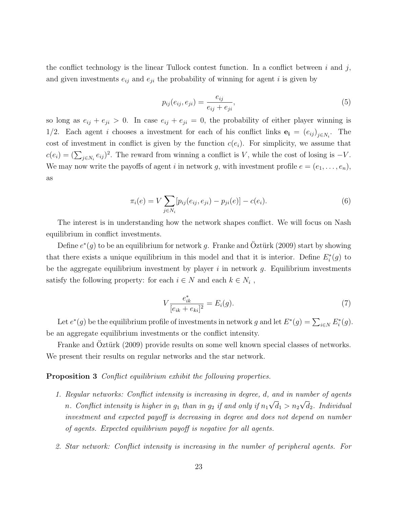the conflict technology is the linear Tullock contest function. In a conflict between  $i$  and  $j$ , and given investments  $e_{ij}$  and  $e_{ji}$  the probability of winning for agent i is given by

$$
p_{ij}(e_{ij}, e_{ji}) = \frac{e_{ij}}{e_{ij} + e_{ji}},\tag{5}
$$

so long as  $e_{ij} + e_{ji} > 0$ . In case  $e_{ij} + e_{ji} = 0$ , the probability of either player winning is 1/2. Each agent i chooses a investment for each of his conflict links  $e_i = (e_{ij})_{i \in N_i}$ . The cost of investment in conflict is given by the function  $c(e_i)$ . For simplicity, we assume that  $c(e_i) = (\sum_{j \in N_i} e_{ij})^2$ . The reward from winning a conflict is V, while the cost of losing is  $-V$ . We may now write the payoffs of agent i in network g, with investment profile  $e = (e_1, \ldots, e_n)$ , as

$$
\pi_i(e) = V \sum_{j \in N_i} [p_{ij}(e_{ij}, e_{ji}) - p_{ji}(e)] - c(e_i).
$$
\n(6)

The interest is in understanding how the network shapes conflict. We will focus on Nash equilibrium in conflict investments.

Define  $e^*(g)$  to be an equilibrium for network g. Franke and Öztürk (2009) start by showing that there exists a unique equilibrium in this model and that it is interior. Define  $E_i^*(g)$  to be the aggregate equilibrium investment by player  $i$  in network  $g$ . Equilibrium investments satisfy the following property: for each  $i \in N$  and each  $k \in N_i$ ,

$$
V \frac{e_{ik}^*}{[e_{ik} + e_{ki}]^2} = E_i(g). \tag{7}
$$

Let  $e^*(g)$  be the equilibrium profile of investments in network g and let  $E^*(g) = \sum_{i \in N} E_i^*(g)$ . be an aggregate equilibrium investments or the conflict intensity.

Franke and Oztürk (2009) provide results on some well known special classes of networks. We present their results on regular networks and the star network.

#### Proposition 3 Conflict equilibrium exhibit the following properties.

- 1. Regular networks: Conflict intensity is increasing in degree, d, and in number of agents n. Conflict intensity is higher in  $g_1$  than in  $g_2$  if and only if  $n_1$ √  $d_1 > n_2$ √  $d_2$ . Individual investment and expected payoff is decreasing in degree and does not depend on number of agents. Expected equilibrium payoff is negative for all agents.
- 2. Star network: Conflict intensity is increasing in the number of peripheral agents. For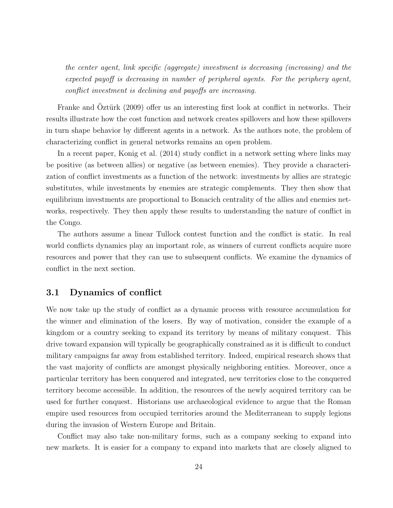the center agent, link specific (aggregate) investment is decreasing (increasing) and the expected payoff is decreasing in number of peripheral agents. For the periphery agent, conflict investment is declining and payoffs are increasing.

Franke and Oztürk (2009) offer us an interesting first look at conflict in networks. Their results illustrate how the cost function and network creates spillovers and how these spillovers in turn shape behavior by different agents in a network. As the authors note, the problem of characterizing conflict in general networks remains an open problem.

In a recent paper, Konig et al. (2014) study conflict in a network setting where links may be positive (as between allies) or negative (as between enemies). They provide a characterization of conflict investments as a function of the network: investments by allies are strategic substitutes, while investments by enemies are strategic complements. They then show that equilibrium investments are proportional to Bonacich centrality of the allies and enemies networks, respectively. They then apply these results to understanding the nature of conflict in the Congo.

The authors assume a linear Tullock contest function and the conflict is static. In real world conflicts dynamics play an important role, as winners of current conflicts acquire more resources and power that they can use to subsequent conflicts. We examine the dynamics of conflict in the next section.

#### 3.1 Dynamics of conflict

We now take up the study of conflict as a dynamic process with resource accumulation for the winner and elimination of the losers. By way of motivation, consider the example of a kingdom or a country seeking to expand its territory by means of military conquest. This drive toward expansion will typically be geographically constrained as it is difficult to conduct military campaigns far away from established territory. Indeed, empirical research shows that the vast majority of conflicts are amongst physically neighboring entities. Moreover, once a particular territory has been conquered and integrated, new territories close to the conquered territory become accessible. In addition, the resources of the newly acquired territory can be used for further conquest. Historians use archaeological evidence to argue that the Roman empire used resources from occupied territories around the Mediterranean to supply legions during the invasion of Western Europe and Britain.

Conflict may also take non-military forms, such as a company seeking to expand into new markets. It is easier for a company to expand into markets that are closely aligned to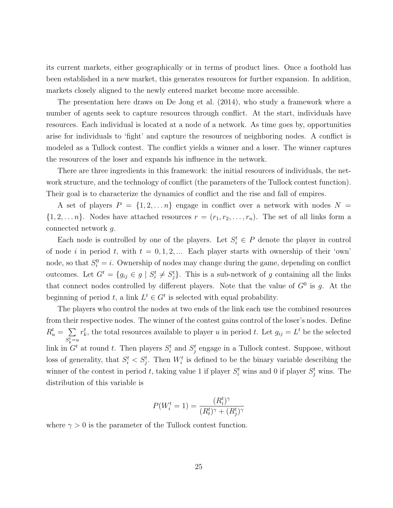its current markets, either geographically or in terms of product lines. Once a foothold has been established in a new market, this generates resources for further expansion. In addition, markets closely aligned to the newly entered market become more accessible.

The presentation here draws on De Jong et al. (2014), who study a framework where a number of agents seek to capture resources through conflict. At the start, individuals have resources. Each individual is located at a node of a network. As time goes by, opportunities arise for individuals to 'fight' and capture the resources of neighboring nodes. A conflict is modeled as a Tullock contest. The conflict yields a winner and a loser. The winner captures the resources of the loser and expands his influence in the network.

There are three ingredients in this framework: the initial resources of individuals, the network structure, and the technology of conflict (the parameters of the Tullock contest function). Their goal is to characterize the dynamics of conflict and the rise and fall of empires.

A set of players  $P = \{1, 2, ..., n\}$  engage in conflict over a network with nodes  $N =$  $\{1, 2, \ldots n\}$ . Nodes have attached resources  $r = (r_1, r_2, \ldots, r_n)$ . The set of all links form a connected network g.

Each node is controlled by one of the players. Let  $S_i^t \in P$  denote the player in control of node i in period t, with  $t = 0, 1, 2, ...$  Each player starts with ownership of their 'own' node, so that  $S_i^0 = i$ . Ownership of nodes may change during the game, depending on conflict outcomes. Let  $G^t = \{g_{ij} \in g \mid S_i^t \neq S_j^t\}$ . This is a sub-network of g containing all the links that connect nodes controlled by different players. Note that the value of  $G^0$  is g. At the beginning of period t, a link  $L^t \in G^t$  is selected with equal probability.

The players who control the nodes at two ends of the link each use the combined resources from their respective nodes. The winner of the contest gains control of the loser's nodes. Define  $R_u^t = \sum$  $S_k^t = u$  $r_k^t$ , the total resources available to player u in period t. Let  $g_{ij} = L^t$  be the selected link in  $G<sup>t</sup>$  at round t. Then players  $S<sup>t</sup><sub>i</sub>$  and  $S<sup>t</sup><sub>j</sub>$  engage in a Tullock contest. Suppose, without loss of generality, that  $S_i^t < S_j^t$ . Then  $W_i^t$  is defined to be the binary variable describing the winner of the contest in period t, taking value 1 if player  $S_i^t$  wins and 0 if player  $S_j^t$  wins. The distribution of this variable is

$$
P(W_i^t = 1) = \frac{(R_i^t)^{\gamma}}{(R_t^t)^{\gamma} + (R_j^t)^{\gamma}}
$$

where  $\gamma > 0$  is the parameter of the Tullock contest function.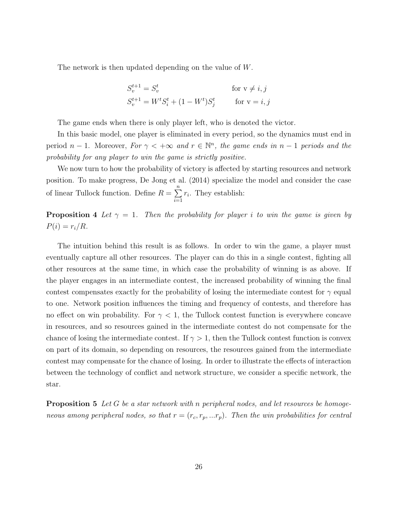The network is then updated depending on the value of W.

$$
S_v^{t+1} = S_v^t
$$
 for  $v \neq i, j$   
\n
$$
S_v^{t+1} = W^t S_i^t + (1 - W^t) S_j^t
$$
 for  $v = i, j$ 

The game ends when there is only player left, who is denoted the victor.

In this basic model, one player is eliminated in every period, so the dynamics must end in period  $n-1$ . Moreover, For  $\gamma < +\infty$  and  $r \in \mathbb{N}^n$ , the game ends in  $n-1$  periods and the probability for any player to win the game is strictly positive.

We now turn to how the probability of victory is affected by starting resources and network position. To make progress, De Jong et al. (2014) specialize the model and consider the case of linear Tullock function. Define  $R = \sum_{n=1}^{\infty}$  $\frac{i=1}{i}$  $r_i$ . They establish:

**Proposition 4** Let  $\gamma = 1$ . Then the probability for player i to win the game is given by  $P(i) = r_i/R$ .

The intuition behind this result is as follows. In order to win the game, a player must eventually capture all other resources. The player can do this in a single contest, fighting all other resources at the same time, in which case the probability of winning is as above. If the player engages in an intermediate contest, the increased probability of winning the final contest compensates exactly for the probability of losing the intermediate contest for  $\gamma$  equal to one. Network position influences the timing and frequency of contests, and therefore has no effect on win probability. For  $\gamma$  < 1, the Tullock contest function is everywhere concave in resources, and so resources gained in the intermediate contest do not compensate for the chance of losing the intermediate contest. If  $\gamma > 1$ , then the Tullock contest function is convex on part of its domain, so depending on resources, the resources gained from the intermediate contest may compensate for the chance of losing. In order to illustrate the effects of interaction between the technology of conflict and network structure, we consider a specific network, the star.

**Proposition 5** Let G be a star network with n peripheral nodes, and let resources be homogeneous among peripheral nodes, so that  $r = (r_c, r_p, ... r_p)$ . Then the win probabilities for central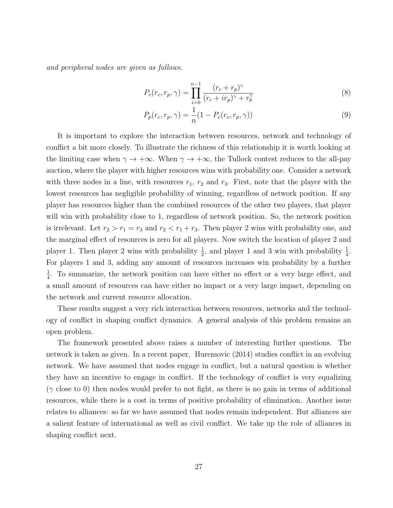and peripheral nodes are given as follows.

$$
P_c(r_c, r_p, \gamma) = \prod_{i=0}^{n-1} \frac{(r_c + r_p)^\gamma}{(r_c + ir_p)^\gamma + r_p^\gamma}
$$
\n
$$
(8)
$$

$$
P_p(r_c, r_p, \gamma) = \frac{1}{n} (1 - P_c(r_c, r_p, \gamma))
$$
\n(9)

It is important to explore the interaction between resources, network and technology of conflict a bit more closely. To illustrate the richness of this relationship it is worth looking at the limiting case when  $\gamma \to +\infty$ . When  $\gamma \to +\infty$ , the Tullock contest reduces to the all-pay auction, where the player with higher resources wins with probability one. Consider a network with three nodes in a line, with resources  $r_1$ ,  $r_2$  and  $r_3$ . First, note that the player with the lowest resources has negligible probability of winning, regardless of network position. If any player has resources higher than the combined resources of the other two players, that player will win with probability close to 1, regardless of network position. So, the network position is irrelevant. Let  $r_2 > r_1 = r_3$  and  $r_2 < r_1 + r_3$ . Then player 2 wins with probability one, and the marginal effect of resources is zero for all players. Now switch the location of player 2 and player 1. Then player 2 wins with probability  $\frac{1}{2}$ , and player 1 and 3 win with probability  $\frac{1}{4}$ . For players 1 and 3, adding any amount of resources increases win probability by a further 1  $\frac{1}{4}$ . To summarize, the network position can have either no effect or a very large effect, and a small amount of resources can have either no impact or a very large impact, depending on the network and current resource allocation.

These results suggest a very rich interaction between resources, networks and the technology of conflict in shaping conflict dynamics. A general analysis of this problem remains an open problem.

The framework presented above raises a number of interesting further questions. The network is taken as given. In a recent paper, Huremovic (2014) studies conflict in an evolving network. We have assumed that nodes engage in conflict, but a natural question is whether they have an incentive to engage in conflict. If the technology of conflict is very equalizing  $(\gamma \text{ close to 0})$  then nodes would prefer to not fight, as there is no gain in terms of additional resources, while there is a cost in terms of positive probability of elimination. Another issue relates to alliances: so far we have assumed that nodes remain independent. But alliances are a salient feature of international as well as civil conflict. We take up the role of alliances in shaping conflict next.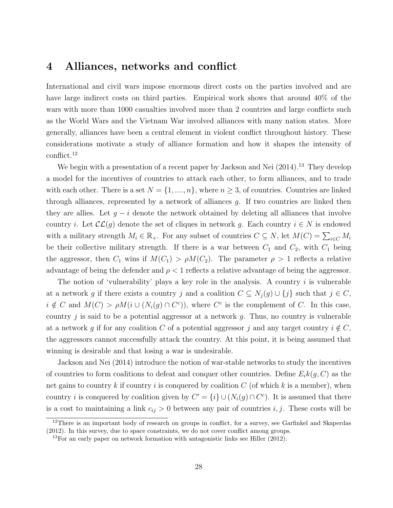### 4 Alliances, networks and conflict

International and civil wars impose enormous direct costs on the parties involved and are have large indirect costs on third parties. Empirical work shows that around  $40\%$  of the wars with more than 1000 casualties involved more than 2 countries and large conflicts such as the World Wars and the Vietnam War involved alliances with many nation states. More generally, alliances have been a central element in violent conflict throughout history. These considerations motivate a study of alliance formation and how it shapes the intensity of conflict.<sup>12</sup>

We begin with a presentation of a recent paper by Jackson and Nei  $(2014).<sup>13</sup>$  They develop a model for the incentives of countries to attack each other, to form alliances, and to trade with each other. There is a set  $N = \{1, ..., n\}$ , where  $n \geq 3$ , of countries. Countries are linked through alliances, represented by a network of alliances  $g$ . If two countries are linked then they are allies. Let  $g - i$  denote the network obtained by deleting all alliances that involve country i. Let  $\mathcal{CL}(g)$  denote the set of cliques in network g. Each country  $i \in N$  is endowed with a military strength  $M_i \in \mathbb{R}_+$ . For any subset of countries  $C \subseteq N$ , let  $M(C) = \sum_{i \in C} M_i$ be their collective military strength. If there is a war between  $C_1$  and  $C_2$ , with  $C_1$  being the aggressor, then  $C_1$  wins if  $M(C_1) > \rho M(C_2)$ . The parameter  $\rho > 1$  reflects a relative advantage of being the defender and  $\rho < 1$  reflects a relative advantage of being the aggressor.

The notion of 'vulnerability' plays a key role in the analysis. A country i is vulnerable at a network g if there exists a country j and a coalition  $C \subseteq N_i(g) \cup \{j\}$  such that  $j \in C$ ,  $i \notin C$  and  $M(C) > \rho M(i \cup (N_i(g) \cap C^c))$ , where  $C^c$  is the complement of C. In this case, country  $j$  is said to be a potential aggressor at a network  $g$ . Thus, no country is vulnerable at a network g if for any coalition C of a potential aggressor j and any target country  $i \notin C$ , the aggressors cannot successfully attack the country. At this point, it is being assumed that winning is desirable and that losing a war is undesirable.

Jackson and Nei (2014) introduce the notion of war-stable networks to study the incentives of countries to form coalitions to defeat and conquer other countries. Define  $E_i k(q, C)$  as the net gains to country k if country i is conquered by coalition  $C$  (of which k is a member), when country *i* is conquered by coalition given by  $C' = \{i\} \cup (N_i(g) \cap C^c)$ . It is assumed that there is a cost to maintaining a link  $c_{ij} > 0$  between any pair of countries i, j. These costs will be

<sup>&</sup>lt;sup>12</sup>There is an important body of research on groups in conflict, for a survey, see Garfinkel and Skaperdas (2012). In this survey, due to space constraints, we do not cover conflict among groups.

<sup>&</sup>lt;sup>13</sup>For an early paper on network formation with antagonistic links see Hiller  $(2012)$ .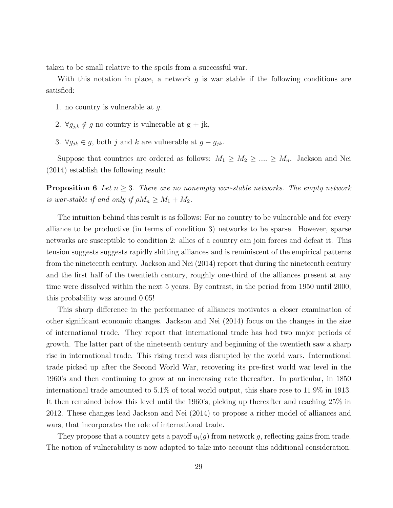taken to be small relative to the spoils from a successful war.

With this notation in place, a network  $g$  is war stable if the following conditions are satisfied:

- 1. no country is vulnerable at  $q$ .
- 2.  $\forall g_{j,k} \notin g$  no country is vulnerable at  $g + jk$ ,
- 3.  $\forall g_{jk} \in g$ , both j and k are vulnerable at  $g g_{jk}$ .

Suppose that countries are ordered as follows:  $M_1 \geq M_2 \geq \ldots \geq M_n$ . Jackson and Nei (2014) establish the following result:

**Proposition 6** Let  $n \geq 3$ . There are no nonempty war-stable networks. The empty network is war-stable if and only if  $\rho M_n \geq M_1 + M_2$ .

The intuition behind this result is as follows: For no country to be vulnerable and for every alliance to be productive (in terms of condition 3) networks to be sparse. However, sparse networks are susceptible to condition 2: allies of a country can join forces and defeat it. This tension suggests suggests rapidly shifting alliances and is reminiscent of the empirical patterns from the nineteenth century. Jackson and Nei (2014) report that during the nineteenth century and the first half of the twentieth century, roughly one-third of the alliances present at any time were dissolved within the next 5 years. By contrast, in the period from 1950 until 2000, this probability was around 0.05!

This sharp difference in the performance of alliances motivates a closer examination of other significant economic changes. Jackson and Nei (2014) focus on the changes in the size of international trade. They report that international trade has had two major periods of growth. The latter part of the nineteenth century and beginning of the twentieth saw a sharp rise in international trade. This rising trend was disrupted by the world wars. International trade picked up after the Second World War, recovering its pre-first world war level in the 1960's and then continuing to grow at an increasing rate thereafter. In particular, in 1850 international trade amounted to 5.1% of total world output, this share rose to 11.9% in 1913. It then remained below this level until the 1960's, picking up thereafter and reaching 25% in 2012. These changes lead Jackson and Nei (2014) to propose a richer model of alliances and wars, that incorporates the role of international trade.

They propose that a country gets a payoff  $u_i(g)$  from network g, reflecting gains from trade. The notion of vulnerability is now adapted to take into account this additional consideration.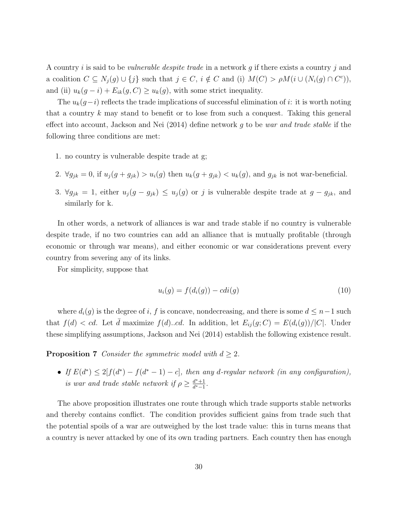A country i is said to be *vulnerable despite trade* in a network g if there exists a country j and a coalition  $C \subseteq N_j(g) \cup \{j\}$  such that  $j \in C$ ,  $i \notin C$  and (i)  $M(C) > \rho M(i \cup (N_i(g) \cap C^c))$ , and (ii)  $u_k(g - i) + E_{ik}(g, C) \ge u_k(g)$ , with some strict inequality.

The  $u_k(g-i)$  reflects the trade implications of successful elimination of i: it is worth noting that a country k may stand to benefit or to lose from such a conquest. Taking this general effect into account, Jackson and Nei  $(2014)$  define network g to be war and trade stable if the following three conditions are met:

- 1. no country is vulnerable despite trade at g;
- 2.  $\forall g_{ik} = 0$ , if  $u_i(g + g_{ik}) > u_i(g)$  then  $u_k(g + g_{ik}) < u_k(g)$ , and  $g_{jk}$  is not war-beneficial.
- 3.  $\forall g_{jk} = 1$ , either  $u_j(g g_{jk}) \leq u_j(g)$  or j is vulnerable despite trade at  $g g_{jk}$ , and similarly for k.

In other words, a network of alliances is war and trade stable if no country is vulnerable despite trade, if no two countries can add an alliance that is mutually profitable (through economic or through war means), and either economic or war considerations prevent every country from severing any of its links.

For simplicity, suppose that

$$
u_i(g) = f(d_i(g)) - cdi(g)
$$
\n
$$
(10)
$$

where  $d_i(g)$  is the degree of i, f is concave, nondecreasing, and there is some  $d \leq n-1$  such that  $f(d) < cd$ . Let  $\bar{d}$  maximize  $f(d)$ ..cd. In addition, let  $E_{ij}(g; C) = E(d_i(g))/|C|$ . Under these simplifying assumptions, Jackson and Nei (2014) establish the following existence result.

**Proposition 7** Consider the symmetric model with  $d \geq 2$ .

• If  $E(d^*) \leq 2[f(d^*) - f(d^*-1) - c]$ , then any d-regular network (in any configuration), is war and trade stable network if  $\rho \geq \frac{d^*+1}{d^*-1}$  $\frac{d^*+1}{d^*-1}$ .

The above proposition illustrates one route through which trade supports stable networks and thereby contains conflict. The condition provides sufficient gains from trade such that the potential spoils of a war are outweighed by the lost trade value: this in turns means that a country is never attacked by one of its own trading partners. Each country then has enough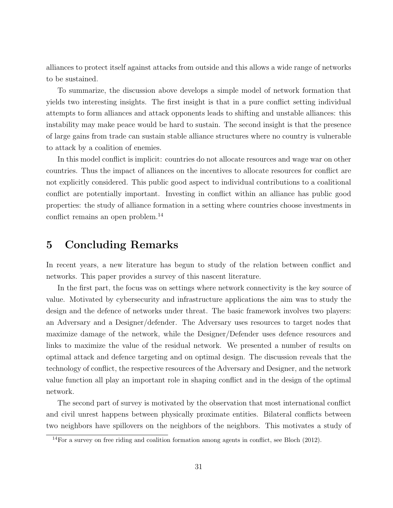alliances to protect itself against attacks from outside and this allows a wide range of networks to be sustained.

To summarize, the discussion above develops a simple model of network formation that yields two interesting insights. The first insight is that in a pure conflict setting individual attempts to form alliances and attack opponents leads to shifting and unstable alliances: this instability may make peace would be hard to sustain. The second insight is that the presence of large gains from trade can sustain stable alliance structures where no country is vulnerable to attack by a coalition of enemies.

In this model conflict is implicit: countries do not allocate resources and wage war on other countries. Thus the impact of alliances on the incentives to allocate resources for conflict are not explicitly considered. This public good aspect to individual contributions to a coalitional conflict are potentially important. Investing in conflict within an alliance has public good properties: the study of alliance formation in a setting where countries choose investments in conflict remains an open problem.<sup>14</sup>

## 5 Concluding Remarks

In recent years, a new literature has begun to study of the relation between conflict and networks. This paper provides a survey of this nascent literature.

In the first part, the focus was on settings where network connectivity is the key source of value. Motivated by cybersecurity and infrastructure applications the aim was to study the design and the defence of networks under threat. The basic framework involves two players: an Adversary and a Designer/defender. The Adversary uses resources to target nodes that maximize damage of the network, while the Designer/Defender uses defence resources and links to maximize the value of the residual network. We presented a number of results on optimal attack and defence targeting and on optimal design. The discussion reveals that the technology of conflict, the respective resources of the Adversary and Designer, and the network value function all play an important role in shaping conflict and in the design of the optimal network.

The second part of survey is motivated by the observation that most international conflict and civil unrest happens between physically proximate entities. Bilateral conflicts between two neighbors have spillovers on the neighbors of the neighbors. This motivates a study of

<sup>&</sup>lt;sup>14</sup>For a survey on free riding and coalition formation among agents in conflict, see Bloch (2012).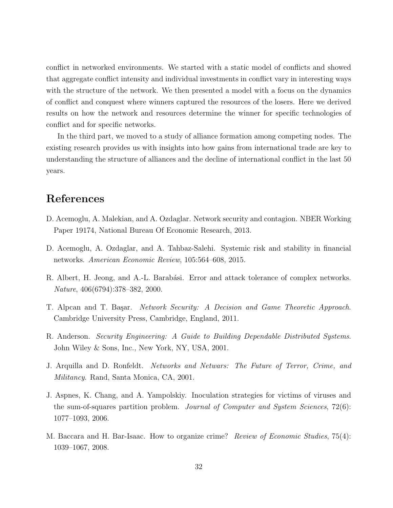conflict in networked environments. We started with a static model of conflicts and showed that aggregate conflict intensity and individual investments in conflict vary in interesting ways with the structure of the network. We then presented a model with a focus on the dynamics of conflict and conquest where winners captured the resources of the losers. Here we derived results on how the network and resources determine the winner for specific technologies of conflict and for specific networks.

In the third part, we moved to a study of alliance formation among competing nodes. The existing research provides us with insights into how gains from international trade are key to understanding the structure of alliances and the decline of international conflict in the last 50 years.

## References

- D. Acemoglu, A. Malekian, and A. Ozdaglar. Network security and contagion. NBER Working Paper 19174, National Bureau Of Economic Research, 2013.
- D. Acemoglu, A. Ozdaglar, and A. Tahbaz-Salehi. Systemic risk and stability in financial networks. American Economic Review, 105:564–608, 2015.
- R. Albert, H. Jeong, and A.-L. Barabási. Error and attack tolerance of complex networks. Nature, 406(6794):378–382, 2000.
- T. Alpcan and T. Başar. Network Security: A Decision and Game Theoretic Approach. Cambridge University Press, Cambridge, England, 2011.
- R. Anderson. Security Engineering: A Guide to Building Dependable Distributed Systems. John Wiley & Sons, Inc., New York, NY, USA, 2001.
- J. Arquilla and D. Ronfeldt. Networks and Netwars: The Future of Terror, Crime, and Militancy. Rand, Santa Monica, CA, 2001.
- J. Aspnes, K. Chang, and A. Yampolskiy. Inoculation strategies for victims of viruses and the sum-of-squares partition problem. Journal of Computer and System Sciences, 72(6): 1077–1093, 2006.
- M. Baccara and H. Bar-Isaac. How to organize crime? Review of Economic Studies, 75(4): 1039–1067, 2008.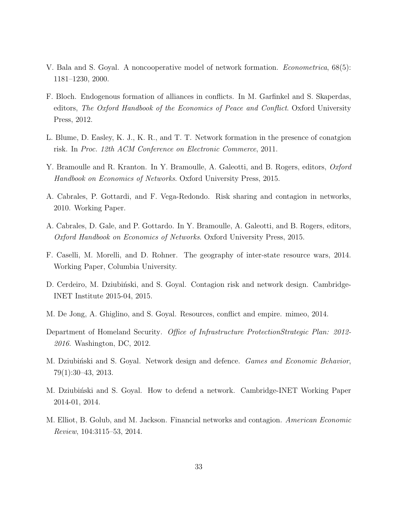- V. Bala and S. Goyal. A noncooperative model of network formation. *Econometrica*, 68(5): 1181–1230, 2000.
- F. Bloch. Endogenous formation of alliances in conflicts. In M. Garfinkel and S. Skaperdas, editors, The Oxford Handbook of the Economics of Peace and Conflict. Oxford University Press, 2012.
- L. Blume, D. Easley, K. J., K. R., and T. T. Network formation in the presence of conatgion risk. In Proc. 12th ACM Conference on Electronic Commerce, 2011.
- Y. Bramoulle and R. Kranton. In Y. Bramoulle, A. Galeotti, and B. Rogers, editors, *Oxford* Handbook on Economics of Networks. Oxford University Press, 2015.
- A. Cabrales, P. Gottardi, and F. Vega-Redondo. Risk sharing and contagion in networks, 2010. Working Paper.
- A. Cabrales, D. Gale, and P. Gottardo. In Y. Bramoulle, A. Galeotti, and B. Rogers, editors, Oxford Handbook on Economics of Networks. Oxford University Press, 2015.
- F. Caselli, M. Morelli, and D. Rohner. The geography of inter-state resource wars, 2014. Working Paper, Columbia University.
- D. Cerdeiro, M. Dziubiński, and S. Goyal. Contagion risk and network design. Cambridge-INET Institute 2015-04, 2015.
- M. De Jong, A. Ghiglino, and S. Goyal. Resources, conflict and empire. mimeo, 2014.
- Department of Homeland Security. Office of Infrastructure ProtectionStrategic Plan: 2012- 2016. Washington, DC, 2012.
- M. Dziubiński and S. Goyal. Network design and defence. *Games and Economic Behavior*, 79(1):30–43, 2013.
- M. Dziubinski and S. Goyal. How to defend a network. Cambridge-INET Working Paper 2014-01, 2014.
- M. Elliot, B. Golub, and M. Jackson. Financial networks and contagion. American Economic Review, 104:3115–53, 2014.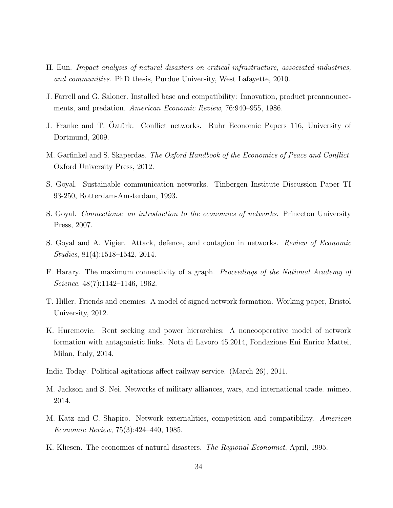- H. Eun. Impact analysis of natural disasters on critical infrastructure, associated industries, and communities. PhD thesis, Purdue University, West Lafayette, 2010.
- J. Farrell and G. Saloner. Installed base and compatibility: Innovation, product preannouncements, and predation. American Economic Review, 76:940–955, 1986.
- J. Franke and T. Oztürk. Conflict networks. Ruhr Economic Papers 116, University of Dortmund, 2009.
- M. Garfinkel and S. Skaperdas. The Oxford Handbook of the Economics of Peace and Conflict. Oxford University Press, 2012.
- S. Goyal. Sustainable communication networks. Tinbergen Institute Discussion Paper TI 93-250, Rotterdam-Amsterdam, 1993.
- S. Goyal. Connections: an introduction to the economics of networks. Princeton University Press, 2007.
- S. Goyal and A. Vigier. Attack, defence, and contagion in networks. Review of Economic Studies, 81(4):1518–1542, 2014.
- F. Harary. The maximum connectivity of a graph. Proceedings of the National Academy of Science, 48(7):1142–1146, 1962.
- T. Hiller. Friends and enemies: A model of signed network formation. Working paper, Bristol University, 2012.
- K. Huremovic. Rent seeking and power hierarchies: A noncooperative model of network formation with antagonistic links. Nota di Lavoro 45.2014, Fondazione Eni Enrico Mattei, Milan, Italy, 2014.
- India Today. Political agitations affect railway service. (March 26), 2011.
- M. Jackson and S. Nei. Networks of military alliances, wars, and international trade. mimeo, 2014.
- M. Katz and C. Shapiro. Network externalities, competition and compatibility. American Economic Review, 75(3):424–440, 1985.
- K. Kliesen. The economics of natural disasters. The Regional Economist, April, 1995.